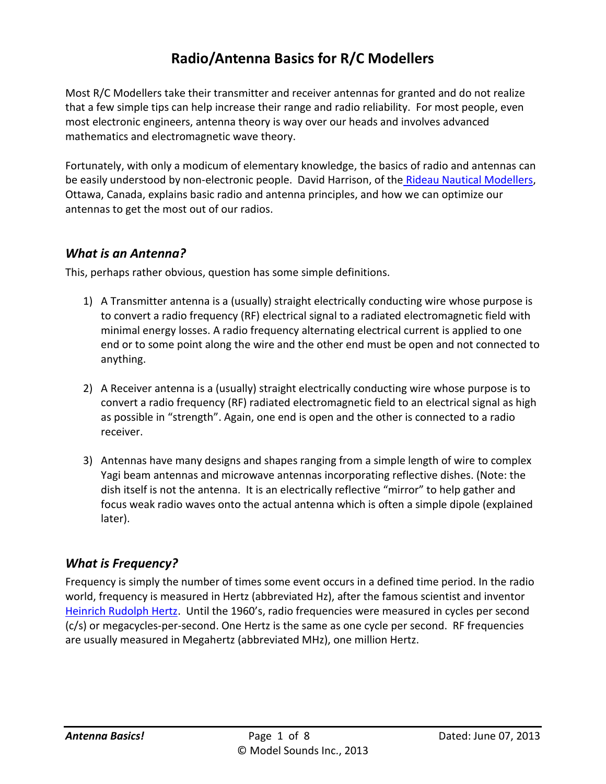# **Radio/Antenna Basics for R/C Modellers**

Most R/C Modellers take their transmitter and receiver antennas for granted and do not realize that a few simple tips can help increase their range and radio reliability. For most people, even most electronic engineers, antenna theory is way over our heads and involves advanced mathematics and electromagnetic wave theory.

Fortunately, with only a modicum of elementary knowledge, the basics of radio and antennas can be easily understood by non-electronic people. David Harrison, of the [Rideau Nautical Modellers,](http://rideaunautical.ca/) Ottawa, Canada, explains basic radio and antenna principles, and how we can optimize our antennas to get the most out of our radios.

## *What is an Antenna?*

This, perhaps rather obvious, question has some simple definitions.

- 1) A Transmitter antenna is a (usually) straight electrically conducting wire whose purpose is to convert a radio frequency (RF) electrical signal to a radiated electromagnetic field with minimal energy losses. A radio frequency alternating electrical current is applied to one end or to some point along the wire and the other end must be open and not connected to anything.
- 2) A Receiver antenna is a (usually) straight electrically conducting wire whose purpose is to convert a radio frequency (RF) radiated electromagnetic field to an electrical signal as high as possible in "strength". Again, one end is open and the other is connected to a radio receiver.
- 3) Antennas have many designs and shapes ranging from a simple length of wire to complex Yagi beam antennas and microwave antennas incorporating reflective dishes. (Note: the dish itself is not the antenna. It is an electrically reflective "mirror" to help gather and focus weak radio waves onto the actual antenna which is often a simple dipole (explained later).

## *What is Frequency?*

Frequency is simply the number of times some event occurs in a defined time period. In the radio world, frequency is measured in Hertz (abbreviated Hz), after the famous scientist and inventor [Heinrich Rudolph Hertz.](http://en.wikipedia.org/wiki/Heinrich_Rudolph_Hertz) Until the 1960's, radio frequencies were measured in cycles per second (c/s) or megacycles-per-second. One Hertz is the same as one cycle per second. RF frequencies are usually measured in Megahertz (abbreviated MHz), one million Hertz.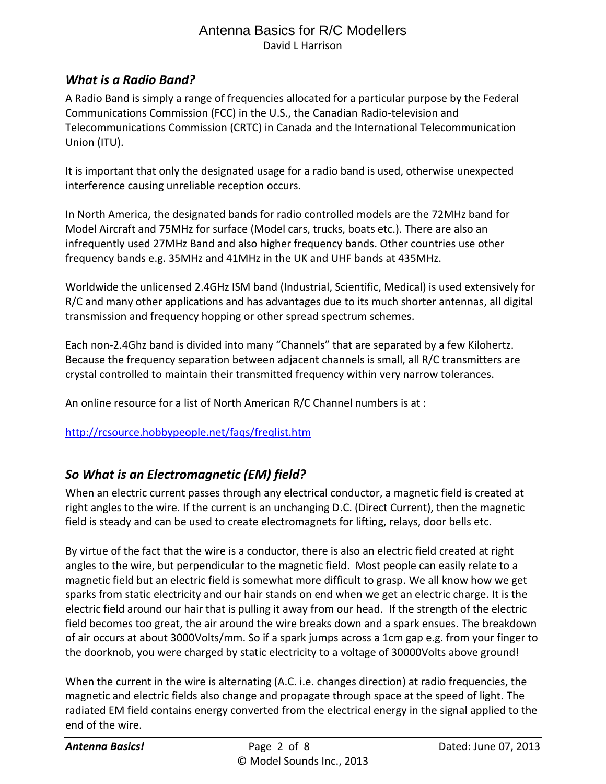### *What is a Radio Band?*

A Radio Band is simply a range of frequencies allocated for a particular purpose by the Federal Communications Commission (FCC) in the U.S., the Canadian Radio-television and Telecommunications Commission (CRTC) in Canada and the International Telecommunication Union (ITU).

It is important that only the designated usage for a radio band is used, otherwise unexpected interference causing unreliable reception occurs.

In North America, the designated bands for radio controlled models are the 72MHz band for Model Aircraft and 75MHz for surface (Model cars, trucks, boats etc.). There are also an infrequently used 27MHz Band and also higher frequency bands. Other countries use other frequency bands e.g. 35MHz and 41MHz in the UK and UHF bands at 435MHz.

Worldwide the unlicensed 2.4GHz ISM band (Industrial, Scientific, Medical) is used extensively for R/C and many other applications and has advantages due to its much shorter antennas, all digital transmission and frequency hopping or other spread spectrum schemes.

Each non-2.4Ghz band is divided into many "Channels" that are separated by a few Kilohertz. Because the frequency separation between adjacent channels is small, all R/C transmitters are crystal controlled to maintain their transmitted frequency within very narrow tolerances.

An online resource for a list of North American R/C Channel numbers is at :

#### <http://rcsource.hobbypeople.net/faqs/freqlist.htm>

## *So What is an Electromagnetic (EM) field?*

When an electric current passes through any electrical conductor, a magnetic field is created at right angles to the wire. If the current is an unchanging D.C. (Direct Current), then the magnetic field is steady and can be used to create electromagnets for lifting, relays, door bells etc.

By virtue of the fact that the wire is a conductor, there is also an electric field created at right angles to the wire, but perpendicular to the magnetic field. Most people can easily relate to a magnetic field but an electric field is somewhat more difficult to grasp. We all know how we get sparks from static electricity and our hair stands on end when we get an electric charge. It is the electric field around our hair that is pulling it away from our head. If the strength of the electric field becomes too great, the air around the wire breaks down and a spark ensues. The breakdown of air occurs at about 3000Volts/mm. So if a spark jumps across a 1cm gap e.g. from your finger to the doorknob, you were charged by static electricity to a voltage of 30000Volts above ground!

When the current in the wire is alternating (A.C. i.e. changes direction) at radio frequencies, the magnetic and electric fields also change and propagate through space at the speed of light. The radiated EM field contains energy converted from the electrical energy in the signal applied to the end of the wire.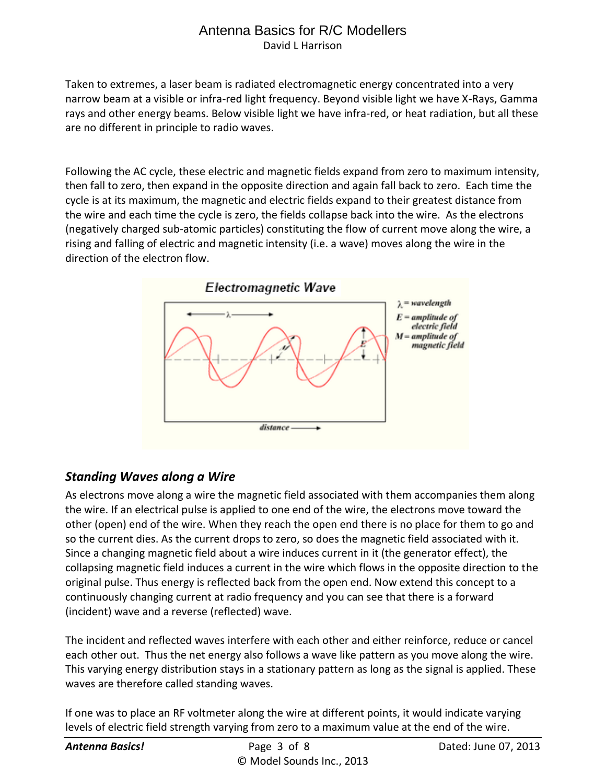Taken to extremes, a laser beam is radiated electromagnetic energy concentrated into a very narrow beam at a visible or infra-red light frequency. Beyond visible light we have X-Rays, Gamma rays and other energy beams. Below visible light we have infra-red, or heat radiation, but all these are no different in principle to radio waves.

Following the AC cycle, these electric and magnetic fields expand from zero to maximum intensity, then fall to zero, then expand in the opposite direction and again fall back to zero. Each time the cycle is at its maximum, the magnetic and electric fields expand to their greatest distance from the wire and each time the cycle is zero, the fields collapse back into the wire. As the electrons (negatively charged sub-atomic particles) constituting the flow of current move along the wire, a rising and falling of electric and magnetic intensity (i.e. a wave) moves along the wire in the direction of the electron flow.



## *Standing Waves along a Wire*

As electrons move along a wire the magnetic field associated with them accompanies them along the wire. If an electrical pulse is applied to one end of the wire, the electrons move toward the other (open) end of the wire. When they reach the open end there is no place for them to go and so the current dies. As the current drops to zero, so does the magnetic field associated with it. Since a changing magnetic field about a wire induces current in it (the generator effect), the collapsing magnetic field induces a current in the wire which flows in the opposite direction to the original pulse. Thus energy is reflected back from the open end. Now extend this concept to a continuously changing current at radio frequency and you can see that there is a forward (incident) wave and a reverse (reflected) wave.

The incident and reflected waves interfere with each other and either reinforce, reduce or cancel each other out. Thus the net energy also follows a wave like pattern as you move along the wire. This varying energy distribution stays in a stationary pattern as long as the signal is applied. These waves are therefore called standing waves.

If one was to place an RF voltmeter along the wire at different points, it would indicate varying levels of electric field strength varying from zero to a maximum value at the end of the wire.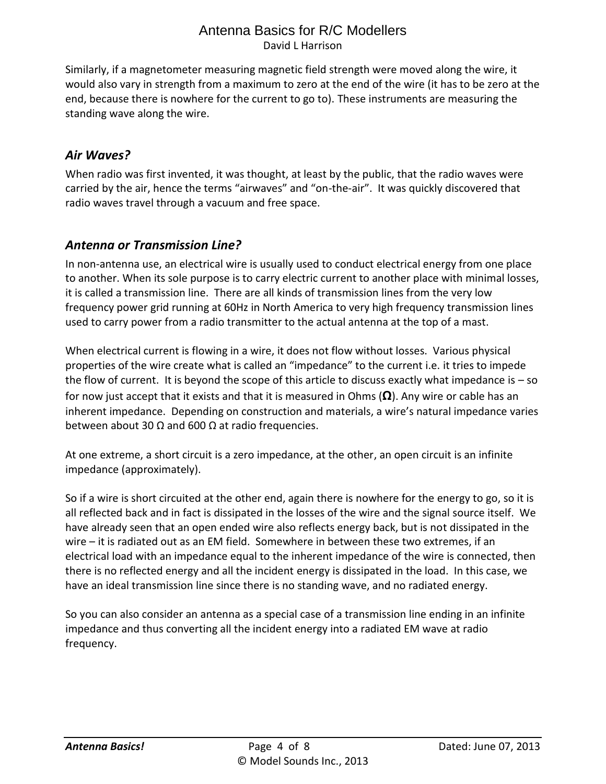Similarly, if a magnetometer measuring magnetic field strength were moved along the wire, it would also vary in strength from a maximum to zero at the end of the wire (it has to be zero at the end, because there is nowhere for the current to go to). These instruments are measuring the standing wave along the wire.

## *Air Waves?*

When radio was first invented, it was thought, at least by the public, that the radio waves were carried by the air, hence the terms "airwaves" and "on-the-air". It was quickly discovered that radio waves travel through a vacuum and free space.

## *Antenna or Transmission Line?*

In non-antenna use, an electrical wire is usually used to conduct electrical energy from one place to another. When its sole purpose is to carry electric current to another place with minimal losses, it is called a transmission line. There are all kinds of transmission lines from the very low frequency power grid running at 60Hz in North America to very high frequency transmission lines used to carry power from a radio transmitter to the actual antenna at the top of a mast.

When electrical current is flowing in a wire, it does not flow without losses. Various physical properties of the wire create what is called an "impedance" to the current i.e. it tries to impede the flow of current. It is beyond the scope of this article to discuss exactly what impedance is – so for now just accept that it exists and that it is measured in Ohms (**Ω**). Any wire or cable has an inherent impedance. Depending on construction and materials, a wire's natural impedance varies between about 30 Ω and 600 Ω at radio frequencies.

At one extreme, a short circuit is a zero impedance, at the other, an open circuit is an infinite impedance (approximately).

So if a wire is short circuited at the other end, again there is nowhere for the energy to go, so it is all reflected back and in fact is dissipated in the losses of the wire and the signal source itself. We have already seen that an open ended wire also reflects energy back, but is not dissipated in the wire – it is radiated out as an EM field. Somewhere in between these two extremes, if an electrical load with an impedance equal to the inherent impedance of the wire is connected, then there is no reflected energy and all the incident energy is dissipated in the load. In this case, we have an ideal transmission line since there is no standing wave, and no radiated energy.

So you can also consider an antenna as a special case of a transmission line ending in an infinite impedance and thus converting all the incident energy into a radiated EM wave at radio frequency.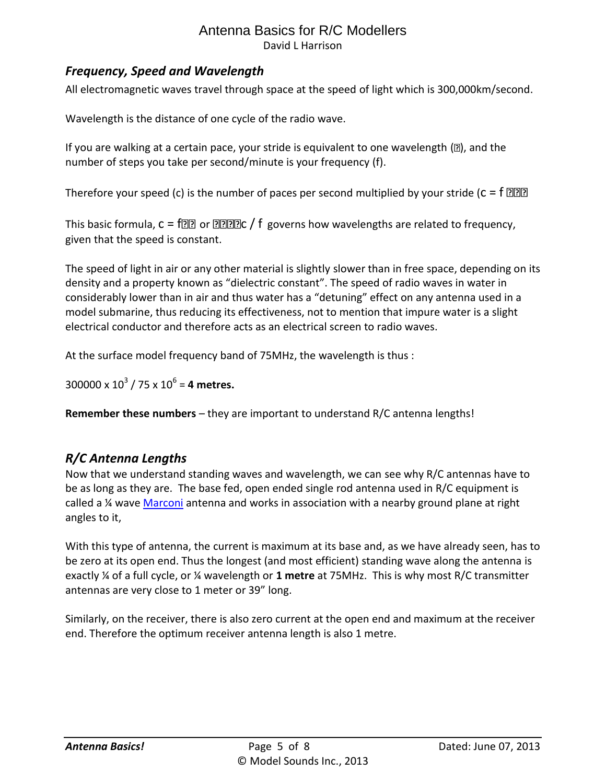## *Frequency, Speed and Wavelength*

All electromagnetic waves travel through space at the speed of light which is 300,000km/second.

Wavelength is the distance of one cycle of the radio wave.

If you are walking at a certain pace, your stride is equivalent to one wavelength  $(2)$ , and the number of steps you take per second/minute is your frequency (f).

Therefore your speed (c) is the number of paces per second multiplied by your stride ( $c = f$  ???

This basic formula,  $c = f \circled{?}$  or  $\circled{?}$  or  $f$  governs how wavelengths are related to frequency, given that the speed is constant.

The speed of light in air or any other material is slightly slower than in free space, depending on its density and a property known as "dielectric constant". The speed of radio waves in water in considerably lower than in air and thus water has a "detuning" effect on any antenna used in a model submarine, thus reducing its effectiveness, not to mention that impure water is a slight electrical conductor and therefore acts as an electrical screen to radio waves.

At the surface model frequency band of 75MHz, the wavelength is thus :

 $300000 \times 10^3 / 75 \times 10^6 =$  **4 metres.** 

**Remember these numbers** – they are important to understand R/C antenna lengths!

## *R/C Antenna Lengths*

Now that we understand standing waves and wavelength, we can see why R/C antennas have to be as long as they are. The base fed, open ended single rod antenna used in R/C equipment is called a ¼ wave [Marconi](http://en.wikipedia.org/wiki/Guglielmo_Marconi) antenna and works in association with a nearby ground plane at right angles to it,

With this type of antenna, the current is maximum at its base and, as we have already seen, has to be zero at its open end. Thus the longest (and most efficient) standing wave along the antenna is exactly ¼ of a full cycle, or ¼ wavelength or **1 metre** at 75MHz. This is why most R/C transmitter antennas are very close to 1 meter or 39" long.

Similarly, on the receiver, there is also zero current at the open end and maximum at the receiver end. Therefore the optimum receiver antenna length is also 1 metre.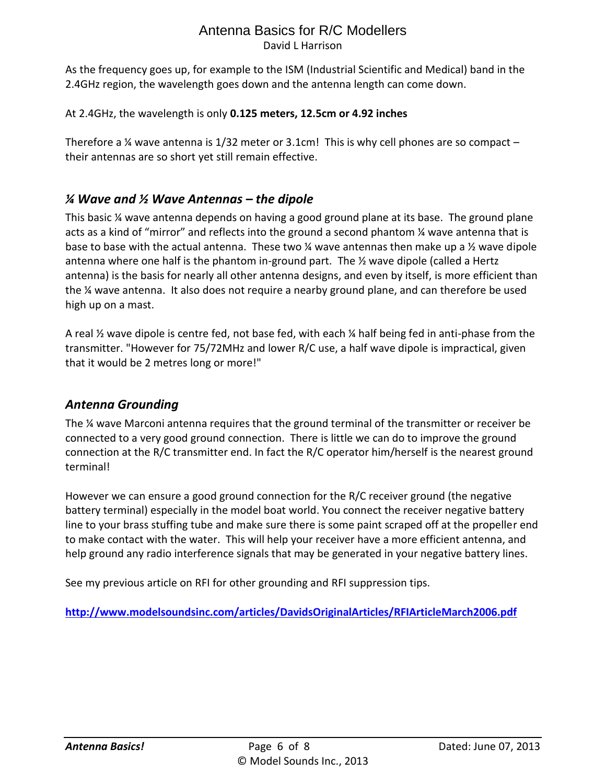As the frequency goes up, for example to the ISM (Industrial Scientific and Medical) band in the 2.4GHz region, the wavelength goes down and the antenna length can come down.

#### At 2.4GHz, the wavelength is only **0.125 meters, 12.5cm or 4.92 inches**

Therefore a  $\frac{1}{2}$  wave antenna is 1/32 meter or 3.1cm! This is why cell phones are so compact – their antennas are so short yet still remain effective.

## *¼ Wave and ½ Wave Antennas – the dipole*

This basic ¼ wave antenna depends on having a good ground plane at its base. The ground plane acts as a kind of "mirror" and reflects into the ground a second phantom ¼ wave antenna that is base to base with the actual antenna. These two  $\frac{1}{4}$  wave antennas then make up a  $\frac{1}{2}$  wave dipole antenna where one half is the phantom in-ground part. The ½ wave dipole (called a Hertz antenna) is the basis for nearly all other antenna designs, and even by itself, is more efficient than the ¼ wave antenna. It also does not require a nearby ground plane, and can therefore be used high up on a mast.

A real ½ wave dipole is centre fed, not base fed, with each ¼ half being fed in anti-phase from the transmitter. "However for 75/72MHz and lower R/C use, a half wave dipole is impractical, given that it would be 2 metres long or more!"

## *Antenna Grounding*

The ¼ wave Marconi antenna requires that the ground terminal of the transmitter or receiver be connected to a very good ground connection. There is little we can do to improve the ground connection at the R/C transmitter end. In fact the R/C operator him/herself is the nearest ground terminal!

However we can ensure a good ground connection for the R/C receiver ground (the negative battery terminal) especially in the model boat world. You connect the receiver negative battery line to your brass stuffing tube and make sure there is some paint scraped off at the propeller end to make contact with the water. This will help your receiver have a more efficient antenna, and help ground any radio interference signals that may be generated in your negative battery lines.

See my previous article on RFI for other grounding and RFI suppression tips.

**<http://www.modelsoundsinc.com/articles/DavidsOriginalArticles/RFIArticleMarch2006.pdf>**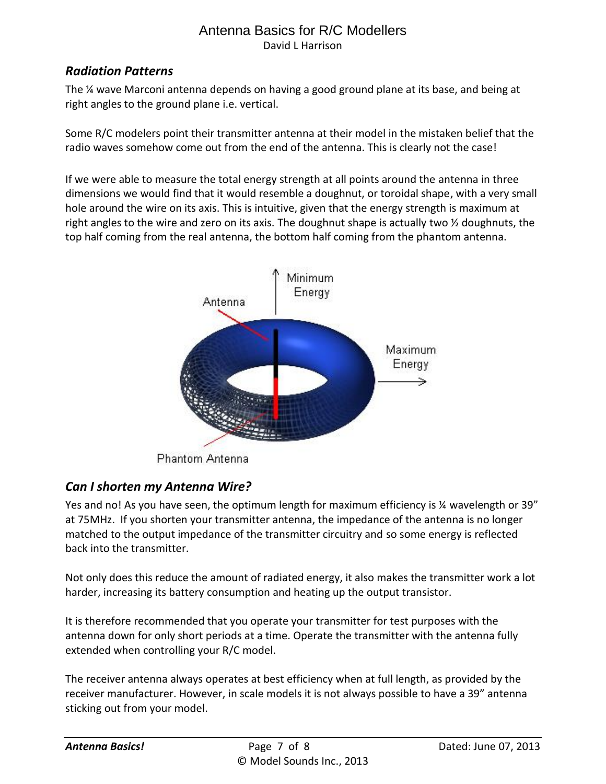## *Radiation Patterns*

The ¼ wave Marconi antenna depends on having a good ground plane at its base, and being at right angles to the ground plane i.e. vertical.

Some R/C modelers point their transmitter antenna at their model in the mistaken belief that the radio waves somehow come out from the end of the antenna. This is clearly not the case!

If we were able to measure the total energy strength at all points around the antenna in three dimensions we would find that it would resemble a doughnut, or toroidal shape, with a very small hole around the wire on its axis. This is intuitive, given that the energy strength is maximum at right angles to the wire and zero on its axis. The doughnut shape is actually two ½ doughnuts, the top half coming from the real antenna, the bottom half coming from the phantom antenna.



Phantom Antenna

## *Can I shorten my Antenna Wire?*

Yes and no! As you have seen, the optimum length for maximum efficiency is ¼ wavelength or 39" at 75MHz. If you shorten your transmitter antenna, the impedance of the antenna is no longer matched to the output impedance of the transmitter circuitry and so some energy is reflected back into the transmitter.

Not only does this reduce the amount of radiated energy, it also makes the transmitter work a lot harder, increasing its battery consumption and heating up the output transistor.

It is therefore recommended that you operate your transmitter for test purposes with the antenna down for only short periods at a time. Operate the transmitter with the antenna fully extended when controlling your R/C model.

The receiver antenna always operates at best efficiency when at full length, as provided by the receiver manufacturer. However, in scale models it is not always possible to have a 39" antenna sticking out from your model.